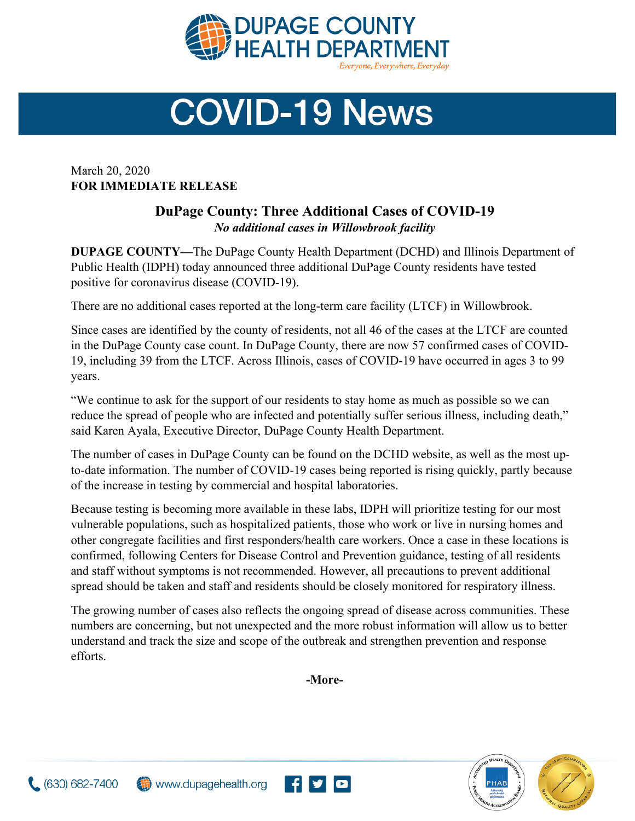

## **COVID-19 News**

March 20, 2020 **FOR IMMEDIATE RELEASE**

## **DuPage County: Three Additional Cases of COVID-19** *No additional cases in Willowbrook facility*

**DUPAGE COUNTY—**The DuPage County Health Department (DCHD) and Illinois Department of Public Health (IDPH) today announced three additional DuPage County residents have tested positive for coronavirus disease (COVID-19).

There are no additional cases reported at the long-term care facility (LTCF) in Willowbrook.

Since cases are identified by the county of residents, not all 46 of the cases at the LTCF are counted in the DuPage County case count. In DuPage County, there are now 57 confirmed cases of COVID-19, including 39 from the LTCF. Across Illinois, cases of COVID-19 have occurred in ages 3 to 99 years.

"We continue to ask for the support of our residents to stay home as much as possible so we can reduce the spread of people who are infected and potentially suffer serious illness, including death," said Karen Ayala, Executive Director, DuPage County Health Department.

The number of cases in DuPage County can be found on the DCHD website, as well as the most upto-date information. The number of COVID-19 cases being reported is rising quickly, partly because of the increase in testing by commercial and hospital laboratories.

Because testing is becoming more available in these labs, IDPH will prioritize testing for our most vulnerable populations, such as hospitalized patients, those who work or live in nursing homes and other congregate facilities and first responders/health care workers. Once a case in these locations is confirmed, following Centers for Disease Control and Prevention guidance, testing of all residents and staff without symptoms is not recommended. However, all precautions to prevent additional spread should be taken and staff and residents should be closely monitored for respiratory illness.

The growing number of cases also reflects the ongoing spread of disease across communities. These numbers are concerning, but not unexpected and the more robust information will allow us to better understand and track the size and scope of the outbreak and strengthen prevention and response efforts.

**-More-**

<u>flylo</u>